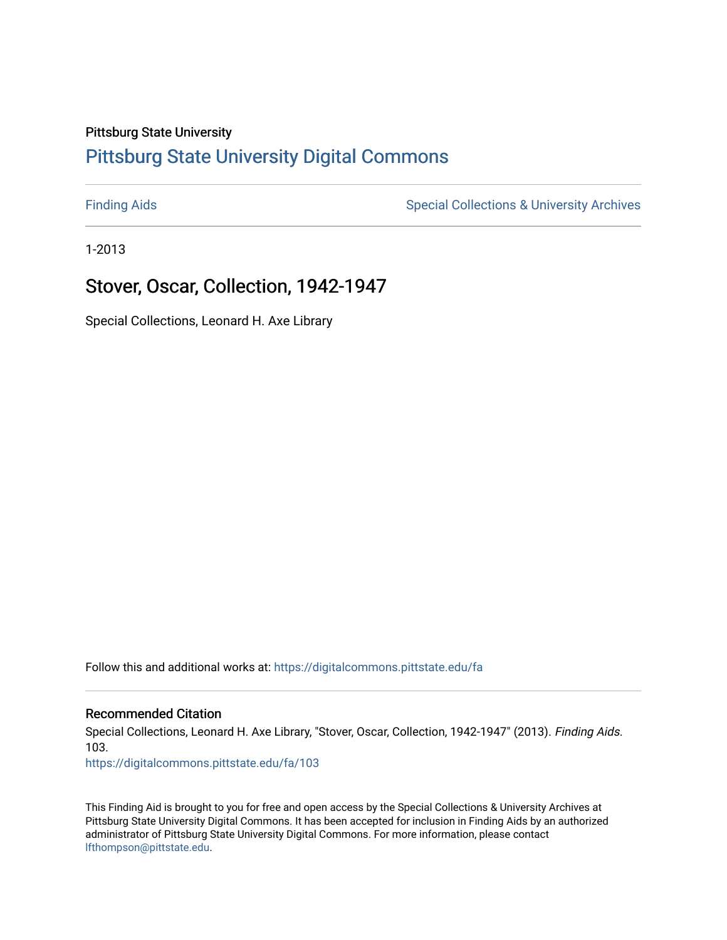## Pittsburg State University

# [Pittsburg State University Digital Commons](https://digitalcommons.pittstate.edu/)

[Finding Aids](https://digitalcommons.pittstate.edu/fa) **Special Collections & University Archives** Special Collections & University Archives

1-2013

# Stover, Oscar, Collection, 1942-1947

Special Collections, Leonard H. Axe Library

Follow this and additional works at: [https://digitalcommons.pittstate.edu/fa](https://digitalcommons.pittstate.edu/fa?utm_source=digitalcommons.pittstate.edu%2Ffa%2F103&utm_medium=PDF&utm_campaign=PDFCoverPages) 

## Recommended Citation

Special Collections, Leonard H. Axe Library, "Stover, Oscar, Collection, 1942-1947" (2013). Finding Aids. 103.

[https://digitalcommons.pittstate.edu/fa/103](https://digitalcommons.pittstate.edu/fa/103?utm_source=digitalcommons.pittstate.edu%2Ffa%2F103&utm_medium=PDF&utm_campaign=PDFCoverPages) 

This Finding Aid is brought to you for free and open access by the Special Collections & University Archives at Pittsburg State University Digital Commons. It has been accepted for inclusion in Finding Aids by an authorized administrator of Pittsburg State University Digital Commons. For more information, please contact [lfthompson@pittstate.edu.](mailto:lfthompson@pittstate.edu)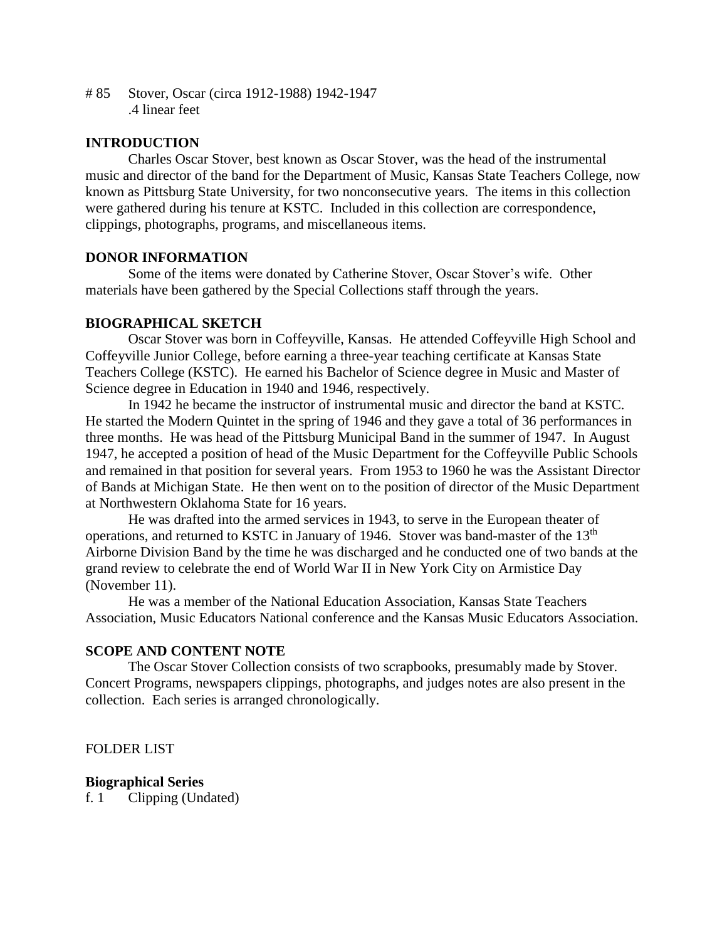# 85 Stover, Oscar (circa 1912-1988) 1942-1947 .4 linear feet

## **INTRODUCTION**

Charles Oscar Stover, best known as Oscar Stover, was the head of the instrumental music and director of the band for the Department of Music, Kansas State Teachers College, now known as Pittsburg State University, for two nonconsecutive years. The items in this collection were gathered during his tenure at KSTC. Included in this collection are correspondence, clippings, photographs, programs, and miscellaneous items.

### **DONOR INFORMATION**

Some of the items were donated by Catherine Stover, Oscar Stover's wife. Other materials have been gathered by the Special Collections staff through the years.

#### **BIOGRAPHICAL SKETCH**

Oscar Stover was born in Coffeyville, Kansas. He attended Coffeyville High School and Coffeyville Junior College, before earning a three-year teaching certificate at Kansas State Teachers College (KSTC). He earned his Bachelor of Science degree in Music and Master of Science degree in Education in 1940 and 1946, respectively.

In 1942 he became the instructor of instrumental music and director the band at KSTC. He started the Modern Quintet in the spring of 1946 and they gave a total of 36 performances in three months. He was head of the Pittsburg Municipal Band in the summer of 1947. In August 1947, he accepted a position of head of the Music Department for the Coffeyville Public Schools and remained in that position for several years. From 1953 to 1960 he was the Assistant Director of Bands at Michigan State. He then went on to the position of director of the Music Department at Northwestern Oklahoma State for 16 years.

He was drafted into the armed services in 1943, to serve in the European theater of operations, and returned to KSTC in January of 1946. Stover was band-master of the 13<sup>th</sup> Airborne Division Band by the time he was discharged and he conducted one of two bands at the grand review to celebrate the end of World War II in New York City on Armistice Day (November 11).

He was a member of the National Education Association, Kansas State Teachers Association, Music Educators National conference and the Kansas Music Educators Association.

#### **SCOPE AND CONTENT NOTE**

The Oscar Stover Collection consists of two scrapbooks, presumably made by Stover. Concert Programs, newspapers clippings, photographs, and judges notes are also present in the collection. Each series is arranged chronologically.

#### FOLDER LIST

### **Biographical Series**

f. 1 Clipping (Undated)